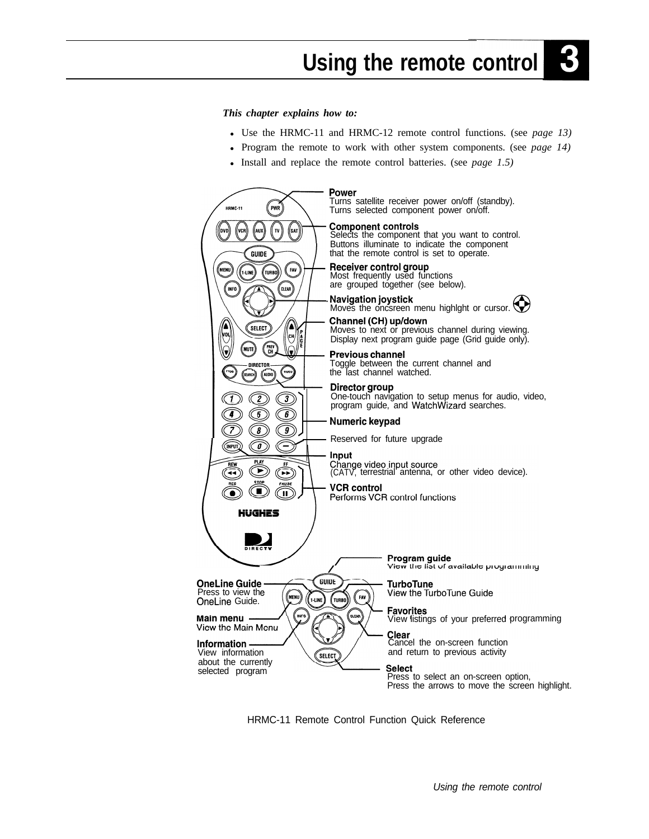## $\mathbf{B}$ **Using the remote control**

*This chapter explains how to:*

- Use the HRMC-11 and HRMC-12 remote control functions. (see *page 13*)
- Program the remote to work with other system components. (see *page 14*)
- Install and replace the remote control batteries. (see *page 1.5)*



HRMC-11 Remote Control Function Quick Reference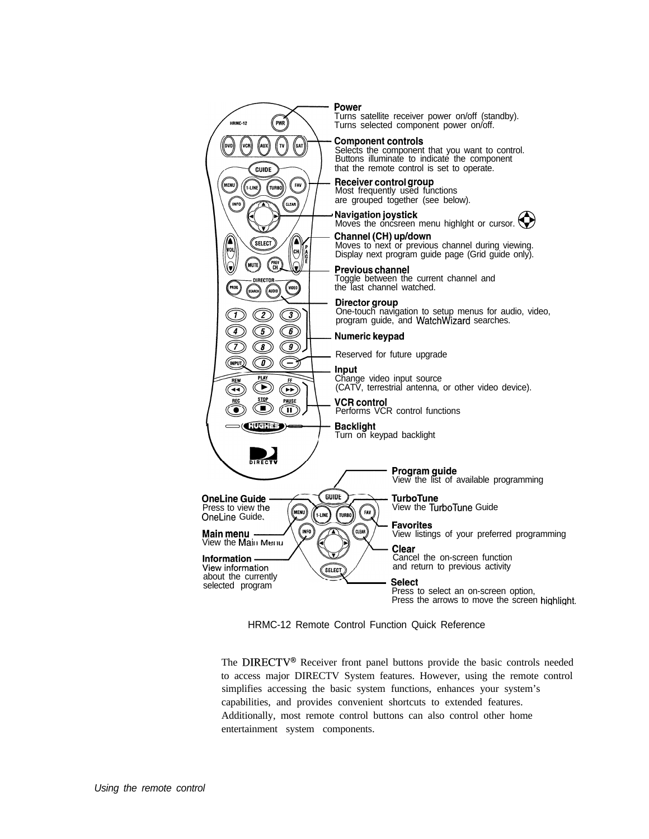

HRMC-12 Remote Control Function Quick Reference

The DIRECTV<sup>®</sup> Receiver front panel buttons provide the basic controls needed to access major DIRECTV System features. However, using the remote control simplifies accessing the basic system functions, enhances your system's capabilities, and provides convenient shortcuts to extended features. Additionally, most remote control buttons can also control other home entertainment system components.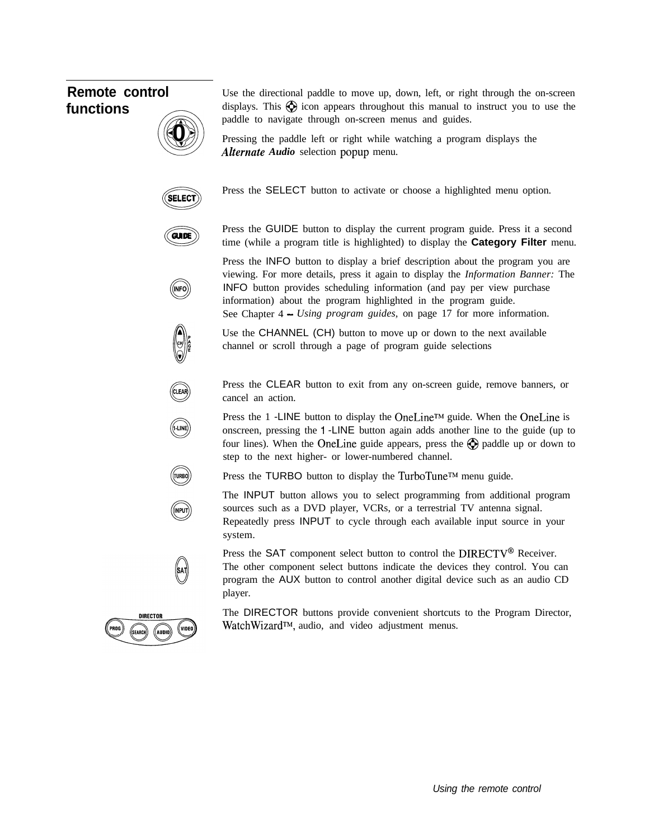# **Remote control functions**

Use the directional paddle to move up, down, left, or right through the on-screen displays. This  $\bigcirc$  icon appears throughout this manual to instruct you to use the paddle to navigate through on-screen menus and guides.

Pressing the paddle left or right while watching a program displays the *Alternate Audio* selection popup menu.



**A @ 40 b 7**

Press the SELECT button to activate or choose a highlighted menu option.



(INFO) INFO

Press the GUIDE button to display the current program guide. Press it a second time (while a program title is highlighted) to display the **Category Filter** menu.

Press the INFO button to display a brief description about the program you are viewing. For more details, press it again to display the *Information Banner:* The INFO button provides scheduling information (and pay per view purchase information) about the program highlighted in the program guide. See Chapter 4 - *Using program guides,* on page 17 for more information.

Use the CHANNEL (CH) button to move up or down to the next available channel or scroll through a page of program guide selections

Press the CLEAR button to exit from any on-screen guide, remove banners, or cancel an action.

Press the 1 -LINE button to display the OneLine<sup>TM</sup> guide. When the OneLine is onscreen, pressing the <sup>1</sup> -LINE button again adds another line to the guide (up to four lines). When the OneLine guide appears, press the  $\bigotimes$  paddle up or down to step to the next higher- or lower-numbered channel.



(sat

(LUNE

Press the TURBO button to display the TurboTune™ menu guide.

The INPUT button allows you to select programming from additional program sources such as a DVD player, VCRs, or a terrestrial TV antenna signal. Repeatedly press INPUT to cycle through each available input source in your system.

Press the SAT component select button to control the DIRECTV<sup>®</sup> Receiver.

The other component select buttons indicate the devices they control. You can program the AUX button to control another digital device such as an audio CD player.



The DIRECTOR buttons provide convenient shortcuts to the Program Director, WatchWizard<sup>TM</sup>, audio, and video adjustment menus.

*Using the remote control*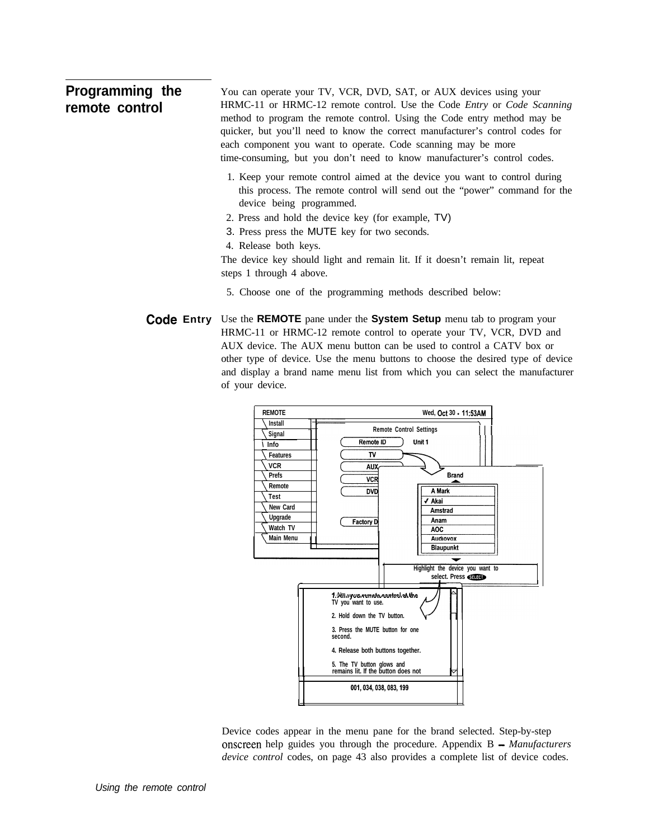### **Programming the remote control** You can operate your TV, VCR, DVD, SAT, or AUX devices using your HRMC-11 or HRMC-12 remote control. Use the Code *Entry* or *Code Scanning* method to program the remote control. Using the Code entry method may be quicker, but you'll need to know the correct manufacturer's control codes for each component you want to operate. Code scanning may be more time-consuming, but you don't need to know manufacturer's control codes. 1. Keep your remote control aimed at the device you want to control during this process. The remote control will send out the "power" command for the device being programmed.

- 2. Press and hold the device key (for example, TV)
- 3. Press press the MUTE key for two seconds.
- 4. Release both keys.

The device key should light and remain lit. If it doesn't remain lit, repeat steps 1 through 4 above.

- 5. Choose one of the programming methods described below:
- **Code Entry** Use the **REMOTE** pane under the **System Setup** menu tab to program your HRMC-11 or HRMC-12 remote control to operate your TV, VCR, DVD and AUX device. The AUX menu button can be used to control a CATV box or other type of device. Use the menu buttons to choose the desired type of device and display a brand name menu list from which you can select the manufacturer of your device.



Device codes appear in the menu pane for the brand selected. Step-by-step onscreen help guides you through the procedure. Appendix B *- Manufacturers device control* codes, on page 43 also provides a complete list of device codes.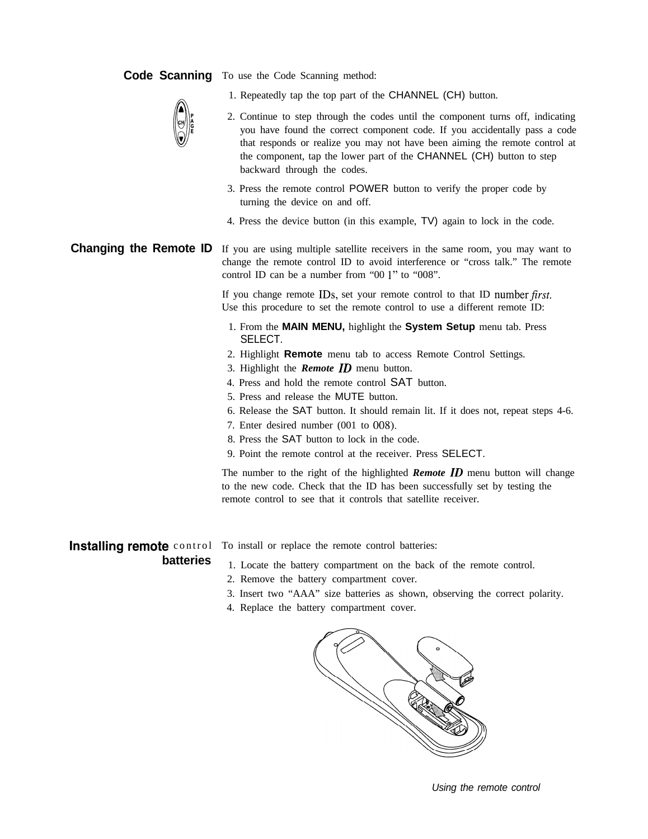### **Code Scanning** To use the Code Scanning method:

1. Repeatedly tap the top part of the CHANNEL (CH) button.



- 2. Continue to step through the codes until the component turns off, indicating you have found the correct component code. If you accidentally pass a code that responds or realize you may not have been aiming the remote control at the component, tap the lower part of the CHANNEL (CH) button to step backward through the codes.
- 3. Press the remote control POWER button to verify the proper code by turning the device on and off.
- 4. Press the device button (in this example, TV) again to lock in the code.

**Changing the Remote ID** If you are using multiple satellite receivers in the same room, you may want to change the remote control ID to avoid interference or "cross talk." The remote control ID can be a number from "00 1" to "008".

> If you change remote IDs, set your remote control to that ID number first. Use this procedure to set the remote control to use a different remote ID:

- 1. From the **MAIN MENU,** highlight the **System Setup** menu tab. Press SELECT.
- 2. Highlight **Remote** menu tab to access Remote Control Settings.
- 3. Highlight the *Remote ID* menu button.
- 4. Press and hold the remote control SAT button.
- 5. Press and release the MUTE button.
- 6. Release the SAT button. It should remain lit. If it does not, repeat steps 4-6.
- 7. Enter desired number (001 to 008).
- 8. Press the SAT button to lock in the code.
- 9. Point the remote control at the receiver. Press SELECT.

The number to the right of the highlighted *Remote ID* menu button will change to the new code. Check that the ID has been successfully set by testing the remote control to see that it controls that satellite receiver.

**Installing remote** control To install or replace the remote control batteries:

- **batteries** 1. Locate the battery compartment on the back of the remote control.
	- 2. Remove the battery compartment cover.
	- 3. Insert two "AAA" size batteries as shown, observing the correct polarity.
	- 4. Replace the battery compartment cover.



*Using the remote control*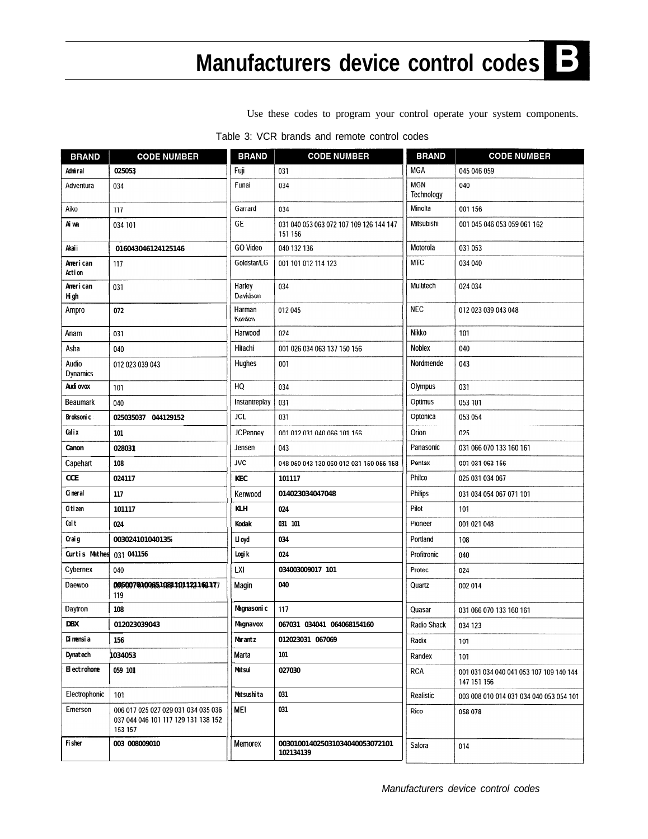## $\mathbf B$ **Manufacturers device control code**

Use these codes to program your control operate your system components.

| <b>BRAND</b>              | <b>CODE NUMBER</b>                                                                    | <b>BRAND</b>       | <b>CODE NUMBER</b>                                 | <b>BRAND</b>             | <b>CODE NUMBER</b>                                     |
|---------------------------|---------------------------------------------------------------------------------------|--------------------|----------------------------------------------------|--------------------------|--------------------------------------------------------|
| Adni ral                  | 025053                                                                                | Fuji               | 031                                                | <b>MGA</b>               | 045 046 059                                            |
| Adventura                 | 034                                                                                   | Funai              | 034                                                | <b>MGN</b><br>Technology | 040                                                    |
| Aiko                      | 117                                                                                   | Garrard            | 034                                                | Minolta                  | 001 156                                                |
| Aiwa                      | 034 101                                                                               | GE                 | 031 040 053 063 072 107 109 126 144 147<br>151 156 | Mitsubishi               | 001 045 046 053 059 061 162                            |
| Akaij                     | 016043046124125146                                                                    | <b>GO Video</b>    | 040 132 136                                        | Motorola                 | 031 053                                                |
| American<br><b>Action</b> | 117                                                                                   | Goldstar/LG        | 001 101 012 114 123                                | <b>MTC</b>               | 034 040                                                |
| American<br><b>Hi</b> gh  | 031                                                                                   | Harley<br>Davidson | 034                                                | Multitech                | 024 034                                                |
| Ampro                     | 072                                                                                   | Harman<br>Kardon   | 012 045                                            | <b>NEC</b>               | 012 023 039 043 048                                    |
| Anam                      | 031                                                                                   | Harwood            | 024                                                | Nikko                    | 101                                                    |
| Asha                      | 040                                                                                   | Hitachi            | 001 026 034 063 137 150 156                        | Noblex                   | 040                                                    |
| Audio<br>Dynamics         | 012 023 039 043                                                                       | Hughes             | 001                                                | Nordmende                | 043                                                    |
| Audi ovox                 | 101                                                                                   | HQ                 | 034                                                | Olympus                  | 031                                                    |
| <b>Beaumark</b>           | 040                                                                                   | Instantreplay      | 031                                                | Optimus                  | 053 101                                                |
| <b>Broksonic</b>          | 025035037 044129152                                                                   | <b>JCL</b>         | 031                                                | Optonica                 | 053 054                                                |
| Calix                     | 101                                                                                   | <b>JCPenney</b>    | 001 012 031 040 066 101 156                        | Orion                    | 025                                                    |
| Canon                     | 028031                                                                                | Jensen             | 043                                                | Panasonic                | 031 066 070 133 160 161                                |
| Capehart                  | 108                                                                                   | <b>JVC</b>         | 048 050 043 130 060 012 031 150 055 158            | Pentax                   | 001 031 063 156                                        |
| <b>CCE</b>                | 024117                                                                                | <b>KEC</b>         | 101117                                             | Philco                   | 025 031 034 067                                        |
| Cineral                   | 117                                                                                   | Kenwood            | 014023034047048                                    | Philips                  | 031 034 054 067 071 101                                |
| Citizen                   | 101117                                                                                | <b>KLH</b>         | 024                                                | Pilot                    | 101                                                    |
| Colt                      | 024                                                                                   | Kodak              | 031 101                                            | Pioneer                  | 001 021 048                                            |
| Craig                     | 003024101040135                                                                       | Ll oyd             | 034                                                | Portland                 | 108                                                    |
| <b>Curtis Mathes</b>      | 031 041156                                                                            | Logik              | 024                                                | Profitronic              | 040                                                    |
| Cybernex                  | 040                                                                                   | LXI                | 034003009017 101                                   | Protec                   | 024                                                    |
| Daewoo                    | 0050070100651081101121161177<br>119                                                   | Magin              | 040                                                | Quartz                   | 002 014                                                |
| Daytron                   | 108                                                                                   | Magnasoni c        | 117                                                | Quasar                   | 031 066 070 133 160 161                                |
| DBX                       | 012023039043                                                                          | Magnavox           | 067031 034041 064068154160                         | Radio Shack              | 034 123                                                |
| Di mensi a                | 156                                                                                   | Marantz            | 012023031 067069                                   | Radix                    | 101                                                    |
| Dynatech                  | 1034053                                                                               | Marta              | 101                                                | Randex                   | 101                                                    |
| <b>Electrohome</b>        | 059 101                                                                               | Matsui             | 027030                                             | <b>RCA</b>               | 001 031 034 040 041 053 107 109 140 144<br>147 151 156 |
| Electrophonic             | 101                                                                                   | Matsushi ta        | 031                                                | Realistic                | 003 008 010 014 031 034 040 053 054 101                |
| Emerson                   | 006 017 025 027 029 031 034 035 036<br>037 044 046 101 117 129 131 138 152<br>153 157 | <b>MEI</b>         | 031                                                | Rico                     | 058 078                                                |
| Fisher                    | 003 008009010                                                                         | <b>Memorex</b>     | 003010014025031034040053072101<br>102134139        | Salora                   | 014                                                    |

Table 3: VCR brands and remote control codes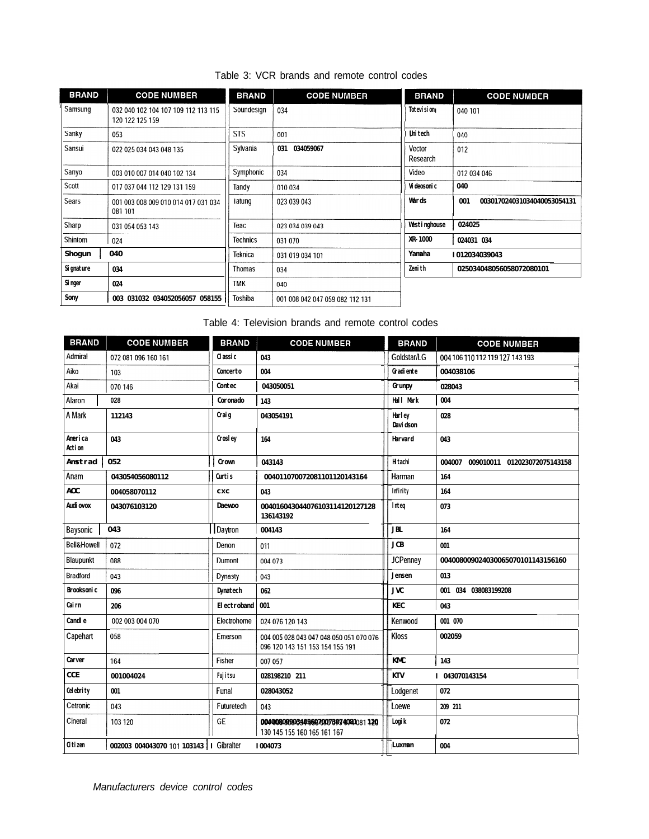| Table 3: VCR brands and remote control codes |  |  |  |  |  |
|----------------------------------------------|--|--|--|--|--|
|----------------------------------------------|--|--|--|--|--|

| <b>BRAND</b> | <b>CODE NUMBER</b>                                     | <b>BRAND</b>    | <b>CODE NUMBER</b>              | <b>BRAND</b>       | <b>CODE NUMBER</b>                 |
|--------------|--------------------------------------------------------|-----------------|---------------------------------|--------------------|------------------------------------|
| Samsung      | 032 040 102 104 107 109 112 113 115<br>120 122 125 159 | Soundesign      | 034                             | Totevision         | 040 101                            |
| Sanky        | 053                                                    | <b>STS</b>      | 001                             | <b>Unitech</b>     | 040                                |
| Sansui       | 022 025 034 043 048 135                                | Sylvania        | 034059067<br>031                | Vector<br>Research | 012                                |
| Sanyo        | 003 010 007 014 040 102 134                            | Symphonic       | 034                             | Video              | 012 034 046                        |
| Scott        | 017 037 044 112 129 131 159                            | Tandy           | 010 034                         | Vi deosoni c       | 040                                |
| Sears        | 001 003 008 009 010 014 017 031 034<br>081 101         | Tatung          | 023 039 043                     | Wards              | 001<br>003017024031034040053054131 |
| Sharp        | 031 054 053 143                                        | Teac            | 023 034 039 043                 | Westinghouse       | 024025                             |
| Shintom      | 024                                                    | <b>Technics</b> | 031 070                         | XR-1000            | 024031 034                         |
| Shogun       | 040                                                    | <b>Teknica</b>  | 031 019 034 101                 | Yamaha             | 1012034039043                      |
| Signature    | 034                                                    | Thomas          | 034                             | <b>Zenith</b>      | 025034048056058072080101           |
| Singer       | 024                                                    | <b>TMK</b>      | 040                             |                    |                                    |
| Sony         | 003 031032 034052056057 058155                         | Toshiba         | 001 008 042 047 059 082 112 131 |                    |                                    |

Table 4: Television brands and remote control codes

| <b>BRAND</b>           | <b>CODE NUMBER</b>                        | <b>BRAND</b>       | <b>CODE NUMBER</b>                                                         | <b>BRAND</b>               | <b>CODE NUMBER</b>                     |
|------------------------|-------------------------------------------|--------------------|----------------------------------------------------------------------------|----------------------------|----------------------------------------|
| Admiral                | 072 081 096 160 161                       | Classic            | 043                                                                        | Goldstar/LG                | 004 106 110 112 119 127 143 193        |
| Aiko                   | 103                                       | Concerto           | 004                                                                        | Gradiente                  | 004038106                              |
| Akai                   | 070 146                                   | Contec             | 043050051                                                                  | Grunpy                     | 028043                                 |
| Alaron                 | 028                                       | Coronado           | 143                                                                        | Hall Mark                  | 004                                    |
| A Mark                 | 112143                                    | Craig              | 043054191                                                                  | <b>Harley</b><br>Davi dson | 028                                    |
| America<br>Action      | 043                                       | Crosley            | 164                                                                        | Harvard                    | 043                                    |
| <b>Anstrad</b>         | 052                                       | <b>Crown</b>       | 043143                                                                     | <b>Hitachi</b>             | 004007<br>009010011 012023072075143158 |
| Anam                   | 043054056080112                           | Curtis             | 004011070072081101120143164                                                | Harman                     | 164                                    |
| AOC                    | 004058070112                              | cxc                | 043                                                                        | Infinity                   | 164                                    |
| Audi ovox              | 043076103120                              | <b>Daewoo</b>      | 004016043044076103114120127128<br>136143192                                | lnteq                      | 073                                    |
| Baysonic               | 043                                       | Daytron            | 004143                                                                     | <b>JBL</b>                 | 164                                    |
| <b>Bell&amp;Howell</b> | 072                                       | Denon              | 011                                                                        | <b>JCB</b>                 | 001                                    |
| Blaupunkt              | 088                                       | Dumont             | 004 073                                                                    | <b>JCPenney</b>            | 004008009024030065070101143156160      |
| <b>Bradford</b>        | 043                                       | Dynasty            | 043                                                                        | Jensen                     | 013                                    |
| Brooksoni c            | 096                                       | <b>Dynatech</b>    | 062                                                                        | <b>JVC</b>                 | 001 034 038083199208                   |
| Cairn                  | 206                                       | <b>Electroband</b> | 001                                                                        | KEC                        | 043                                    |
| <b>Candle</b>          | 002 003 004 070                           | Electrohome        | 024 076 120 143                                                            | Kenwood                    | 001 070                                |
| Capehart               | 058                                       | Emerson            | 004 005 028 043 047 048 050 051 070 076<br>096 120 143 151 153 154 155 191 | <b>Kloss</b>               | 002059                                 |
| <b>Carver</b>          | 164                                       | Fisher             | 007 057                                                                    | <b>KMC</b>                 | 143                                    |
| <b>CCE</b>             | 001004024                                 | Fujitsu            | 028198210 211                                                              | <b>KTV</b>                 | I 043070143154                         |
| Celebrity              | 001                                       | Funal              | 028043052                                                                  | Lodgenet                   | 072                                    |
| Cetronic               | 043                                       | Futuretech         | 043                                                                        | Loewe                      | 209 211                                |
| Cineral                | 103 120                                   | GE                 | 0040080099034056670078074081081120<br>130 145 155 160 165 161 167          | Logi k                     | 072                                    |
| Citizen                | 002003 004043070 101 103143   I Gibralter |                    | I004073                                                                    | Luxman                     | 004                                    |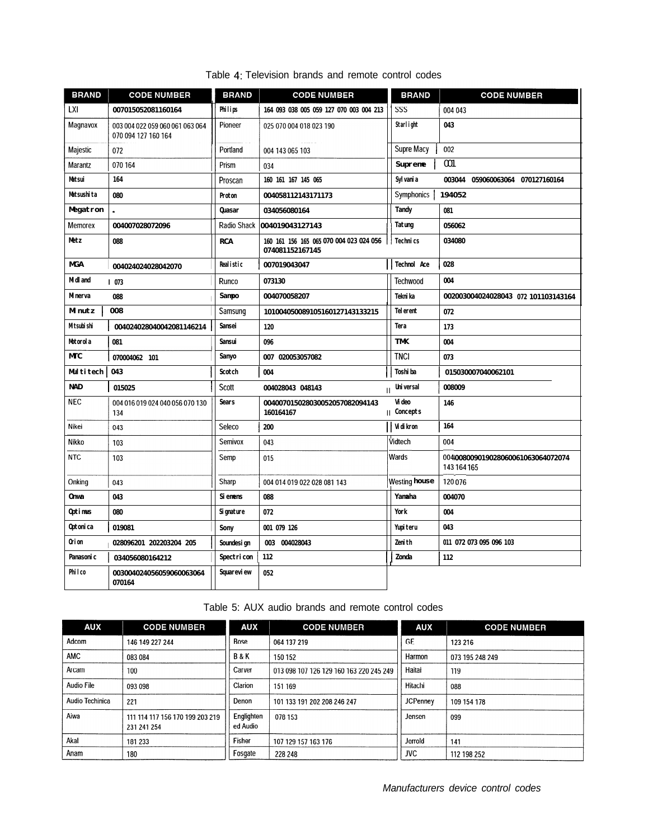| <b>BRAND</b>    | <b>CODE NUMBER</b>                                     | <b>BRAND</b>     | <b>CODE NUMBER</b>                                         | <b>BRAND</b>                | <b>CODE NUMBER</b>                               |  |
|-----------------|--------------------------------------------------------|------------------|------------------------------------------------------------|-----------------------------|--------------------------------------------------|--|
| LXI             | 007015052081160164                                     | Philips          | 164 093 038 005 059 127 070 003 004 213                    | SSS                         | 004 043                                          |  |
| Magnavox        | 003 004 022 059 060 061 063 064<br>070 094 127 160 164 | Pioneer          | 025 070 004 018 023 190                                    | Starlight                   | 043                                              |  |
| Majestic        | 072                                                    | Portland         | 004 143 065 103                                            | Supre Macy                  | 002                                              |  |
| Marantz         | 070 164                                                | Prism            | 034                                                        | <b>Supreme</b>              | 001                                              |  |
| Matsui          | 164                                                    | Proscan          | 160 161 167 145 065                                        | Sylvania                    | 003044 059060063064 070127160164                 |  |
| Matsushi ta     | 080                                                    | Proton           | 004058112143171173                                         | <b>Symphonics</b>           | 194052                                           |  |
| Megatron        |                                                        | Quasar           | 034056080164                                               | <b>Tandy</b>                | 081                                              |  |
| Memorex         | 004007028072096                                        | Radio Shack      | 004019043127143                                            | Tatung                      | 056062                                           |  |
| Metz            | 088                                                    | <b>RCA</b>       | 160 161 156 165 065 070 004 023 024 056<br>074081152167145 | Technics                    | 034080                                           |  |
| <b>MGA</b>      | 004024024028042070                                     | Realistic        | 007019043047                                               | <b>Technol</b> Ace          | 028                                              |  |
| M dl and        | I 073                                                  | Runco            | 073130                                                     | <b>Techwood</b>             | 004                                              |  |
| <b>M</b> nerva  | 088                                                    | Sampo            | 004070058207                                               | <b>Teknika</b>              | 002003004024028043 072 101103143164              |  |
| <b>M</b> nutz   | 008                                                    | Samsung          | 101004050089105160127143133215                             | <b>Telerent</b>             | 072                                              |  |
| M tsubi shi     | 004024028040042081146214                               | Sansei           | 120                                                        | Tera                        | 173                                              |  |
| Motorola        | 081                                                    | Sansui           | 096                                                        | <b>TMK</b>                  | 004                                              |  |
| <b>MC</b>       | 070004062 101                                          | Sanyo            | 007 020053057082                                           | <b>TNCI</b>                 | 073                                              |  |
| Multitech   043 |                                                        | Scotch           | 004                                                        | Toshi ba                    | 015030007040062101                               |  |
| <b>NAD</b>      | 015025                                                 | Scott            | 004028043 048143                                           | Universal<br>$\mathbf{I}$   | 008009                                           |  |
| <b>NEC</b>      | 004 016 019 024 040 056 070 130<br>134                 | Sears            | 004007015028030052057082094143<br>160164167                | <b>Video</b><br>II Concepts | 146                                              |  |
| Nikei           | 043                                                    | Seleco           | 200                                                        | <b>Vidikron</b>             | 164                                              |  |
| Nikko           | 103                                                    | Semivox          | 043                                                        | Vidtech                     | 004                                              |  |
| <b>NTC</b>      | 103                                                    | Semp             | 015                                                        | Wards                       | 004008009019028060061063064072074<br>143 164 165 |  |
| Onking          | 043                                                    | Sharp            | 004 014 019 022 028 081 143                                | Westing house               | 120 076                                          |  |
| <b>Onwa</b>     | 043                                                    | <b>Si enens</b>  | 088                                                        | Yamaha                      | 004070                                           |  |
| Optimus         | 080                                                    | <b>Signature</b> | 072                                                        | York                        | 004                                              |  |
| Optonica        | 019081                                                 | Sony             | 001 079 126                                                | Yupi teru                   | 043                                              |  |
| <b>Orion</b>    | 028096201 202203204 205                                | Soundesi gn      | 003<br>004028043                                           | <b>Zenith</b>               | 011 072 073 095 096 103                          |  |
| Panasoni c      | 034056080164212                                        | Spectri con      | 112                                                        | <b>Zonda</b>                | 112                                              |  |
| Philco          | 003004024056059060063064<br>070164                     | Squarevi ew      | 052                                                        |                             |                                                  |  |

## Table 4: Television brands and remote control codes

Table 5: AUX audio brands and remote control codes

| <b>AUX</b>      | <b>CODE NUMBER</b>                             | <b>AUX</b>             | <b>CODE NUMBER</b>                      | <b>AUX</b>      | <b>CODE NUMBER</b> |
|-----------------|------------------------------------------------|------------------------|-----------------------------------------|-----------------|--------------------|
| Adcom           | 146 149 227 244                                | Bose                   | 064 137 219                             | <b>GE</b>       | 123 216            |
| <b>AMC</b>      | 083 084                                        | <b>B&amp;K</b>         | 150 152                                 | Harmon          | 073 195 248 249    |
| Arcam           | 100                                            | Carver                 | 013 098 107 126 129 160 163 220 245 249 | Haitai          | 119                |
| Audio File      | 093 098                                        | Clarion                | 151 169                                 | Hitachi         | 088                |
| Audio Techinica | 221                                            | Denon                  | 101 133 191 202 208 246 247             | <b>JCPenney</b> | 109 154 178        |
| Aiwa            | 111 114 117 156 170 199 203 219<br>231 241 254 | Englighten<br>ed Audio | 078 153                                 | Jensen          | 099                |
| Akal            | 181 233                                        | Fisher                 | 107 129 157 163 176                     | Jerrold         | 141                |
| Anam            | 180                                            | Fosgate                | 228 248                                 | JVC             | 112 198 252        |